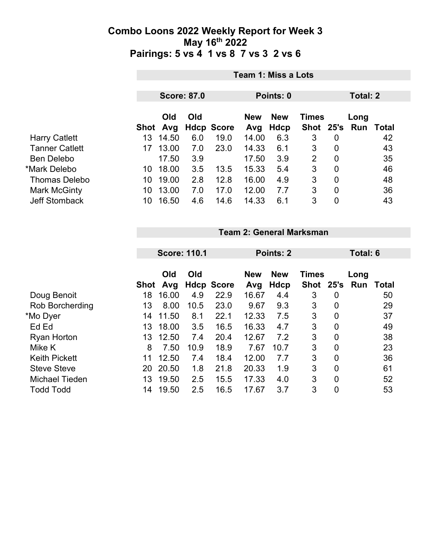|                       |     | <b>Team 1: Miss a Lots</b>                  |     |                   |            |             |              |                |      |       |  |  |
|-----------------------|-----|---------------------------------------------|-----|-------------------|------------|-------------|--------------|----------------|------|-------|--|--|
|                       |     | <b>Score: 87.0</b><br>Points: 0<br>Total: 2 |     |                   |            |             |              |                |      |       |  |  |
|                       |     | Old                                         | Old |                   | <b>New</b> | <b>New</b>  | <b>Times</b> |                | Long |       |  |  |
|                       |     | Shot Avg                                    |     | <b>Hdcp Score</b> | Avg        | <b>Hdcp</b> | Shot 25's    |                | Run  | Total |  |  |
| <b>Harry Catlett</b>  | 13  | 14.50                                       | 6.0 | 19.0              | 14.00      | 6.3         | 3            | 0              |      | 42    |  |  |
| <b>Tanner Catlett</b> | 17  | 13.00                                       | 7.0 | 23.0              | 14.33      | 6.1         | 3            | 0              |      | 43    |  |  |
| <b>Ben Delebo</b>     |     | 17.50                                       | 3.9 |                   | 17.50      | 3.9         | 2            | 0              |      | 35    |  |  |
| *Mark Delebo          | 10. | 18.00                                       | 3.5 | 13.5              | 15.33      | 5.4         | 3            | $\overline{0}$ |      | 46    |  |  |
| <b>Thomas Delebo</b>  | 10  | 19.00                                       | 2.8 | 12.8              | 16.00      | 4.9         | 3            | $\overline{0}$ |      | 48    |  |  |
| Mark McGinty          | 10  | 13.00                                       | 7.0 | 17.0              | 12.00      | 7.7         | 3            | $\overline{0}$ |      | 36    |  |  |
| <b>Jeff Stomback</b>  | 10  | 16.50                                       | 4.6 | 14.6              | 14.33      | 6.1         | 3            | 0              |      | 43    |  |  |

**Team 2: General Marksman**

|                      | <b>Score: 110.1</b> |            |      |                   | <b>Points: 2</b>  |                    |                           |                | Total: 6    |       |  |
|----------------------|---------------------|------------|------|-------------------|-------------------|--------------------|---------------------------|----------------|-------------|-------|--|
|                      | Shot                | Old<br>Avg | Old  | <b>Hdcp Score</b> | <b>New</b><br>Avg | <b>New</b><br>Hdcp | <b>Times</b><br>Shot 25's |                | Long<br>Run | Total |  |
| Doug Benoit          | 18                  | 16.00      | 4.9  | 22.9              | 16.67             | 4.4                | 3                         | 0              |             | 50    |  |
| Rob Borcherding      | 13                  | 8.00       | 10.5 | 23.0              | 9.67              | 9.3                | 3                         | 0              |             | 29    |  |
| *Mo Dyer             | 14                  | 11.50      | 8.1  | 22.1              | 12.33             | 7.5                | 3                         | $\overline{0}$ |             | 37    |  |
| Ed Ed                | 13                  | 18.00      | 3.5  | 16.5              | 16.33             | 4.7                | 3                         | 0              |             | 49    |  |
| <b>Ryan Horton</b>   | 13                  | 12.50      | 7.4  | 20.4              | 12.67             | 7.2                | 3                         | $\overline{0}$ |             | 38    |  |
| Mike K               | 8                   | 7.50       | 10.9 | 18.9              | 7.67              | 10.7               | 3                         | $\overline{0}$ |             | 23    |  |
| <b>Keith Pickett</b> | 11                  | 12.50      | 7.4  | 18.4              | 12.00             | 7.7                | 3                         | $\overline{0}$ |             | 36    |  |
| <b>Steve Steve</b>   | 20                  | 20.50      | 1.8  | 21.8              | 20.33             | 1.9                | 3                         | $\mathbf{0}$   |             | 61    |  |
| Michael Tieden       | 13                  | 19.50      | 2.5  | 15.5              | 17.33             | 4.0                | 3                         | $\overline{0}$ |             | 52    |  |
| <b>Todd Todd</b>     | 14                  | 19.50      | 2.5  | 16.5              | 17.67             | 3.7                | 3                         | $\overline{0}$ |             | 53    |  |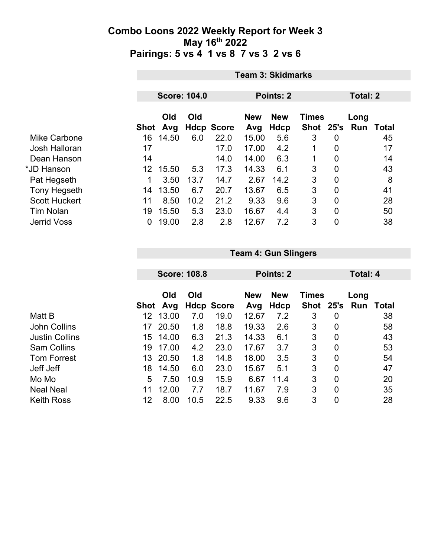|                      |      | <b>Team 3: Skidmarks</b> |      |                   |            |            |              |                |          |       |  |
|----------------------|------|--------------------------|------|-------------------|------------|------------|--------------|----------------|----------|-------|--|
|                      |      |                          |      |                   |            |            |              |                |          |       |  |
|                      |      | <b>Score: 104.0</b>      |      |                   | Points: 2  |            |              |                | Total: 2 |       |  |
|                      |      | Old                      | Old  |                   | <b>New</b> | <b>New</b> | <b>Times</b> |                | Long     |       |  |
|                      | Shot | Avg                      |      | <b>Hdcp Score</b> | Avg        | Hdcp       | <b>Shot</b>  | 25's           | Run      | Total |  |
| Mike Carbone         | 16   | 14.50                    | 6.0  | 22.0              | 15.00      | 5.6        | 3            | $\overline{0}$ |          | 45    |  |
| Josh Halloran        | 17   |                          |      | 17.0              | 17.00      | 4.2        | 1            | 0              |          | 17    |  |
| Dean Hanson          | 14   |                          |      | 14.0              | 14.00      | 6.3        |              | 0              |          | 14    |  |
| *JD Hanson           | 12   | 15.50                    | 5.3  | 17.3              | 14.33      | 6.1        | 3            | $\overline{0}$ |          | 43    |  |
| Pat Hegseth          | 1    | 3.50                     | 13.7 | 14.7              | 2.67       | 14.2       | 3            | $\mathbf 0$    |          | 8     |  |
| <b>Tony Hegseth</b>  | 14   | 13.50                    | 6.7  | 20.7              | 13.67      | 6.5        | 3            | $\overline{0}$ |          | 41    |  |
| <b>Scott Huckert</b> | 11   | 8.50                     | 10.2 | 21.2              | 9.33       | 9.6        | 3            | 0              |          | 28    |  |
| <b>Tim Nolan</b>     | 19   | 15.50                    | 5.3  | 23.0              | 16.67      | 4.4        | 3            | 0              |          | 50    |  |
| <b>Jerrid Voss</b>   | 0    | 19.00                    | 2.8  | 2.8               | 12.67      | 7.2        | 3            | 0              |          | 38    |  |

|                       | <b>Score: 108.8</b> |       |      |                   |            | Points: 2   |              | Total: 4       |      |       |
|-----------------------|---------------------|-------|------|-------------------|------------|-------------|--------------|----------------|------|-------|
|                       |                     |       |      |                   |            |             |              |                |      |       |
|                       |                     | Old   | Old  |                   | <b>New</b> | <b>New</b>  | <b>Times</b> |                | Long |       |
|                       | Shot                | Avg   |      | <b>Hdcp Score</b> | Avg        | <b>Hdcp</b> | Shot 25's    |                | Run  | Total |
| Matt B                | 12                  | 13.00 | 7.0  | 19.0              | 12.67      | 7.2         | 3            | 0              |      | 38    |
| <b>John Collins</b>   | 17                  | 20.50 | 1.8  | 18.8              | 19.33      | 2.6         | 3            | $\overline{0}$ |      | 58    |
| <b>Justin Collins</b> | 15                  | 14.00 | 6.3  | 21.3              | 14.33      | 6.1         | 3            | $\overline{0}$ |      | 43    |
| <b>Sam Collins</b>    | 19                  | 17.00 | 4.2  | 23.0              | 17.67      | 3.7         | 3            | $\overline{0}$ |      | 53    |
| <b>Tom Forrest</b>    | 13                  | 20.50 | 1.8  | 14.8              | 18.00      | 3.5         | 3            | $\overline{0}$ |      | 54    |
| Jeff Jeff             | 18                  | 14.50 | 6.0  | 23.0              | 15.67      | 5.1         | 3            | $\overline{0}$ |      | 47    |
| Mo Mo                 | 5                   | 7.50  | 10.9 | 15.9              | 6.67       | 11.4        | 3            | $\overline{0}$ |      | 20    |
| <b>Neal Neal</b>      | 11                  | 12.00 | 7.7  | 18.7              | 11.67      | 7.9         | 3            | $\overline{0}$ |      | 35    |
| <b>Keith Ross</b>     | 12                  | 8.00  | 10.5 | 22.5              | 9.33       | 9.6         | 3            | 0              |      | 28    |

**Team 4: Gun Slingers**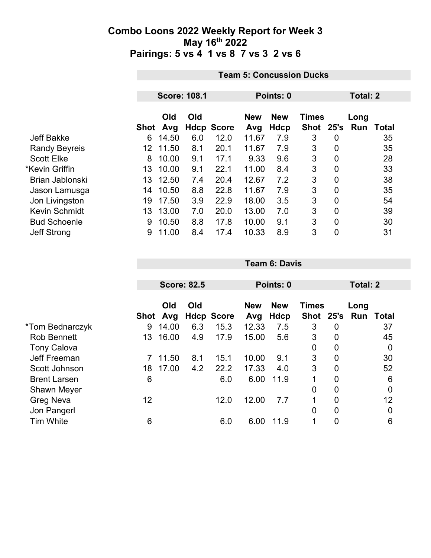|                      |      | <b>Team 5: Concussion Ducks</b> |     |                   |                   |                    |                           |                |             |              |  |  |
|----------------------|------|---------------------------------|-----|-------------------|-------------------|--------------------|---------------------------|----------------|-------------|--------------|--|--|
|                      |      |                                 |     |                   |                   |                    |                           |                |             |              |  |  |
|                      |      | <b>Score: 108.1</b>             |     |                   |                   | Points: 0          |                           | Total: 2       |             |              |  |  |
|                      | Shot | Old<br>Avg                      | Old | <b>Hdcp Score</b> | <b>New</b><br>Avg | <b>New</b><br>Hdcp | <b>Times</b><br>Shot 25's |                | Long<br>Run | <b>Total</b> |  |  |
| <b>Jeff Bakke</b>    | 6    | 14.50                           | 6.0 | 12.0              | 11.67             | 7.9                | 3                         | 0              |             | 35           |  |  |
| <b>Randy Beyreis</b> | 12   | 11.50                           | 8.1 | 20.1              | 11.67             | 7.9                | 3                         | $\overline{0}$ |             | 35           |  |  |
| <b>Scott Elke</b>    | 8    | 10.00                           | 9.1 | 17.1              | 9.33              | 9.6                | 3                         | 0              |             | 28           |  |  |
| *Kevin Griffin       | 13   | 10.00                           | 9.1 | 22.1              | 11.00             | 8.4                | 3                         | 0              |             | 33           |  |  |
| Brian Jablonski      | 13   | 12.50                           | 7.4 | 20.4              | 12.67             | 7.2                | 3                         | $\overline{0}$ |             | 38           |  |  |
| Jason Lamusga        | 14   | 10.50                           | 8.8 | 22.8              | 11.67             | 7.9                | 3                         | 0              |             | 35           |  |  |
| Jon Livingston       | 19   | 17.50                           | 3.9 | 22.9              | 18.00             | 3.5                | 3                         | $\overline{0}$ |             | 54           |  |  |
| Kevin Schmidt        | 13   | 13.00                           | 7.0 | 20.0              | 13.00             | 7.0                | 3                         | $\overline{0}$ |             | 39           |  |  |
| <b>Bud Schoenle</b>  | 9    | 10.50                           | 8.8 | 17.8              | 10.00             | 9.1                | 3                         | 0              |             | 30           |  |  |
| <b>Jeff Strong</b>   | 9    | 11.00                           | 8.4 | 17.4              | 10.33             | 8.9                | 3                         | $\overline{0}$ |             | 31           |  |  |

|                     |      |            | <b>Score: 82.5</b> |                   | Points: 0         |                    |                           |                | Total: 2 |                  |  |
|---------------------|------|------------|--------------------|-------------------|-------------------|--------------------|---------------------------|----------------|----------|------------------|--|
|                     | Shot | Old<br>Avg | Old                | <b>Hdcp Score</b> | <b>New</b><br>Avg | <b>New</b><br>Hdcp | <b>Times</b><br>Shot 25's |                | Long     | <b>Run Total</b> |  |
| *Tom Bednarczyk     | 9    | 14.00      | 6.3                | 15.3              | 12.33             | 7.5                | 3                         | 0              |          | 37               |  |
| <b>Rob Bennett</b>  | 13   | 16.00      | 4.9                | 17.9              | 15.00             | 5.6                | 3                         | $\overline{0}$ |          | 45               |  |
| <b>Tony Calova</b>  |      |            |                    |                   |                   |                    | $\mathbf 0$               | $\overline{0}$ |          | 0                |  |
| Jeff Freeman        |      | 11.50      | 8.1                | 15.1              | 10.00             | 9.1                | 3                         | 0              |          | 30               |  |
| Scott Johnson       | 18   | 17.00      | 4.2                | 22.2              | 17.33             | 4.0                | 3                         | $\mathbf 0$    |          | 52               |  |
| <b>Brent Larsen</b> | 6    |            |                    | 6.0               | 6.00              | 11.9               | 1                         | 0              |          | 6                |  |
| Shawn Meyer         |      |            |                    |                   |                   |                    | 0                         | 0              |          | $\mathbf 0$      |  |
| <b>Greg Neva</b>    | 12   |            |                    | 12.0              | 12.00             | 7.7                | 1                         | $\overline{0}$ |          | 12               |  |
| Jon Pangerl         |      |            |                    |                   |                   |                    | $\overline{0}$            | 0              |          | 0                |  |
| <b>Tim White</b>    | 6    |            |                    | 6.0               | 6.00              | 11.9               | 1                         | 0              |          | 6                |  |

**Team 6: Davis**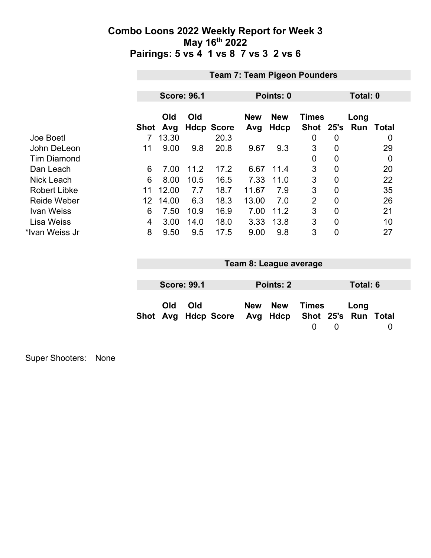|                     | <b>Team 7: Team Pigeon Pounders</b> |                    |      |                   |                   |                           |                           |                |             |                  |  |  |
|---------------------|-------------------------------------|--------------------|------|-------------------|-------------------|---------------------------|---------------------------|----------------|-------------|------------------|--|--|
|                     |                                     |                    |      |                   |                   |                           |                           |                |             |                  |  |  |
|                     |                                     | <b>Score: 96.1</b> |      |                   | Points: 0         |                           |                           |                |             | Total: 0         |  |  |
|                     | <b>Shot</b>                         | Old<br>Avg         | Old  | <b>Hdcp Score</b> | <b>New</b><br>Avg | <b>New</b><br><b>Hdcp</b> | <b>Times</b><br>Shot 25's |                | Long<br>Run | Total            |  |  |
| Joe Boetl           |                                     | 13.30              |      | 20.3              |                   |                           | 0                         | 0              |             | $\boldsymbol{0}$ |  |  |
| John DeLeon         | 11                                  | 9.00               | 9.8  | 20.8              | 9.67              | 9.3                       | 3                         | $\overline{0}$ |             | 29               |  |  |
| <b>Tim Diamond</b>  |                                     |                    |      |                   |                   |                           | $\Omega$                  | 0              |             | 0                |  |  |
| Dan Leach           | 6                                   | 7.00               | 11.2 | 17.2              | 6.67              | 11.4                      | 3                         | 0              |             | 20               |  |  |
| <b>Nick Leach</b>   | 6                                   | 8.00               | 10.5 | 16.5              | 7.33              | 11.0                      | 3                         | 0              |             | 22               |  |  |
| <b>Robert Libke</b> | 11                                  | 12.00              | 7.7  | 18.7              | 11.67             | 7.9                       | 3                         | $\overline{0}$ |             | 35               |  |  |
| <b>Reide Weber</b>  | 12                                  | 14.00              | 6.3  | 18.3              | 13.00             | 7.0                       | $\overline{2}$            | $\overline{0}$ |             | 26               |  |  |
| <b>Ivan Weiss</b>   | 6                                   | 7.50               | 10.9 | 16.9              | 7.00              | 11.2                      | 3                         | $\overline{0}$ |             | 21               |  |  |
| <b>Lisa Weiss</b>   | 4                                   | 3.00               | 14.0 | 18.0              | 3.33              | 13.8                      | 3                         | $\overline{0}$ |             | 10               |  |  |
| *Ivan Weiss Jr      | 8                                   | 9.50               | 9.5  | 17.5              | 9.00              | 9.8                       | 3                         | 0              |             | 27               |  |  |

| Team 8: League average |                    |                                                  |  |           |       |          |          |  |  |
|------------------------|--------------------|--------------------------------------------------|--|-----------|-------|----------|----------|--|--|
|                        |                    |                                                  |  |           |       |          |          |  |  |
|                        | <b>Score: 99.1</b> |                                                  |  | Points: 2 |       |          | Total: 6 |  |  |
| Old                    | Old                | Shot Avg Hdcp Score Avg Hdcp Shot 25's Run Total |  | New New   | Times | $\Omega$ | Long     |  |  |

Super Shooters: None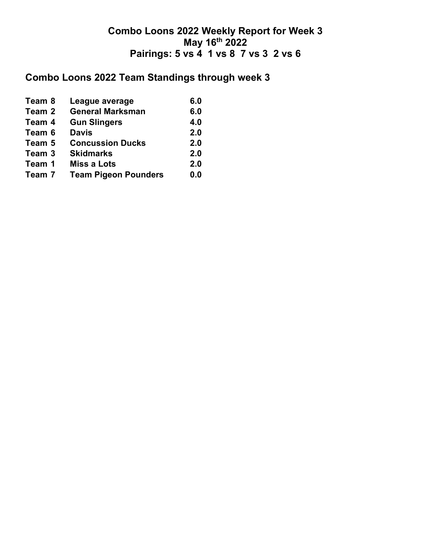# **Combo Loons 2022 Team Standings through week 3**

| Team 8 | League average              | 6.0 |
|--------|-----------------------------|-----|
| Team 2 | <b>General Marksman</b>     | 6.0 |
| Team 4 | <b>Gun Slingers</b>         | 4.0 |
| Team 6 | <b>Davis</b>                | 2.0 |
| Team 5 | <b>Concussion Ducks</b>     | 2.0 |
| Team 3 | <b>Skidmarks</b>            | 2.0 |
| Team 1 | <b>Miss a Lots</b>          | 2.0 |
| Team 7 | <b>Team Pigeon Pounders</b> | 0.0 |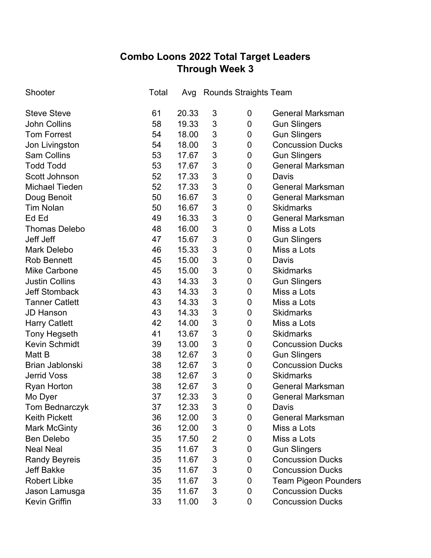## **Combo Loons 2022 Total Target Leaders Through Week 3**

| Shooter               | Total | Avg   |                | Rounds Straights Team |                             |
|-----------------------|-------|-------|----------------|-----------------------|-----------------------------|
| <b>Steve Steve</b>    | 61    | 20.33 | 3              | 0                     | <b>General Marksman</b>     |
| <b>John Collins</b>   | 58    | 19.33 | 3              | 0                     | <b>Gun Slingers</b>         |
| <b>Tom Forrest</b>    | 54    | 18.00 | 3              | 0                     | <b>Gun Slingers</b>         |
| Jon Livingston        | 54    | 18.00 | 3              | 0                     | <b>Concussion Ducks</b>     |
| <b>Sam Collins</b>    | 53    | 17.67 | 3              | 0                     | <b>Gun Slingers</b>         |
| <b>Todd Todd</b>      | 53    | 17.67 | 3              | 0                     | <b>General Marksman</b>     |
| Scott Johnson         | 52    | 17.33 | 3              | 0                     | Davis                       |
| <b>Michael Tieden</b> | 52    | 17.33 | 3              | 0                     | <b>General Marksman</b>     |
| Doug Benoit           | 50    | 16.67 | 3              | 0                     | <b>General Marksman</b>     |
| <b>Tim Nolan</b>      | 50    | 16.67 | 3              | 0                     | <b>Skidmarks</b>            |
| Ed Ed                 | 49    | 16.33 | 3              | 0                     | <b>General Marksman</b>     |
| <b>Thomas Delebo</b>  | 48    | 16.00 | 3              | 0                     | Miss a Lots                 |
| Jeff Jeff             | 47    | 15.67 | 3              | 0                     | <b>Gun Slingers</b>         |
| <b>Mark Delebo</b>    | 46    | 15.33 | 3              | 0                     | Miss a Lots                 |
| <b>Rob Bennett</b>    | 45    | 15.00 | 3              | 0                     | Davis                       |
| <b>Mike Carbone</b>   | 45    | 15.00 | 3              | 0                     | <b>Skidmarks</b>            |
| <b>Justin Collins</b> | 43    | 14.33 | 3              | 0                     | <b>Gun Slingers</b>         |
| <b>Jeff Stomback</b>  | 43    | 14.33 | 3              | 0                     | Miss a Lots                 |
| <b>Tanner Catlett</b> | 43    | 14.33 | 3              | 0                     | Miss a Lots                 |
| <b>JD Hanson</b>      | 43    | 14.33 | 3              | $\mathbf 0$           | <b>Skidmarks</b>            |
| <b>Harry Catlett</b>  | 42    | 14.00 | 3              | 0                     | Miss a Lots                 |
| <b>Tony Hegseth</b>   | 41    | 13.67 | 3              | 0                     | <b>Skidmarks</b>            |
| <b>Kevin Schmidt</b>  | 39    | 13.00 | 3              | 0                     | <b>Concussion Ducks</b>     |
| Matt B                | 38    | 12.67 | 3              | $\mathbf 0$           | <b>Gun Slingers</b>         |
| Brian Jablonski       | 38    | 12.67 | 3              | 0                     | <b>Concussion Ducks</b>     |
| <b>Jerrid Voss</b>    | 38    | 12.67 | 3              | $\mathbf 0$           | <b>Skidmarks</b>            |
| <b>Ryan Horton</b>    | 38    | 12.67 | 3              | $\mathbf 0$           | <b>General Marksman</b>     |
| Mo Dyer               | 37    | 12.33 | 3              | $\overline{0}$        | <b>General Marksman</b>     |
| Tom Bednarczyk        | 37    | 12.33 | 3              | 0                     | Davis                       |
| <b>Keith Pickett</b>  | 36    | 12.00 | 3              | 0                     | <b>General Marksman</b>     |
| <b>Mark McGinty</b>   | 36    | 12.00 | 3              | 0                     | Miss a Lots                 |
| <b>Ben Delebo</b>     | 35    | 17.50 | $\overline{2}$ | 0                     | Miss a Lots                 |
| <b>Neal Neal</b>      | 35    | 11.67 | 3              | 0                     | <b>Gun Slingers</b>         |
| <b>Randy Beyreis</b>  | 35    | 11.67 | 3              | 0                     | <b>Concussion Ducks</b>     |
| <b>Jeff Bakke</b>     | 35    | 11.67 | 3              | 0                     | <b>Concussion Ducks</b>     |
| <b>Robert Libke</b>   | 35    | 11.67 | 3              | 0                     | <b>Team Pigeon Pounders</b> |
| Jason Lamusga         | 35    | 11.67 | 3              | 0                     | <b>Concussion Ducks</b>     |
| Kevin Griffin         | 33    | 11.00 | 3              | 0                     | <b>Concussion Ducks</b>     |